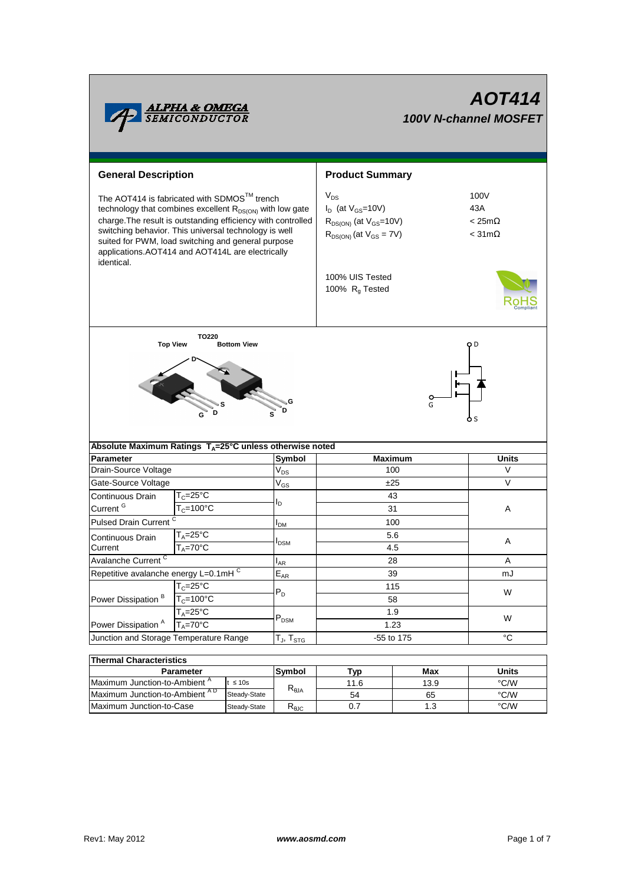| <b>ALPHA &amp; OMEGA</b><br>SEMICONDUCTOR                                                                                                                                                                                                                                                                                                                            |                            | <b>AOT414</b><br><b>100V N-channel MOSFET</b>                                                                                                       |                                                  |               |  |  |  |
|----------------------------------------------------------------------------------------------------------------------------------------------------------------------------------------------------------------------------------------------------------------------------------------------------------------------------------------------------------------------|----------------------------|-----------------------------------------------------------------------------------------------------------------------------------------------------|--------------------------------------------------|---------------|--|--|--|
| <b>General Description</b>                                                                                                                                                                                                                                                                                                                                           |                            | <b>Product Summary</b>                                                                                                                              |                                                  |               |  |  |  |
| The AOT414 is fabricated with SDMOS™ trench<br>technology that combines excellent R <sub>DS(ON)</sub> with low gate<br>charge. The result is outstanding efficiency with controlled<br>switching behavior. This universal technology is well<br>suited for PWM, load switching and general purpose<br>applications.AOT414 and AOT414L are electrically<br>identical. |                            | $V_{DS}$<br>$I_D$ (at $V_{GS}$ =10V)<br>$R_{DS(ON)}$ (at $V_{GS}=10V$ )<br>$R_{DS(ON)}$ (at $V_{GS} = 7V$ )<br>100% UIS Tested<br>100% $R_q$ Tested | 100V<br>43A<br>$< 25m\Omega$<br>$<$ 31m $\Omega$ |               |  |  |  |
| <b>TO220</b><br><b>Top View</b><br><b>Bottom View</b><br>o D<br>G<br>G<br>D<br>Absolute Maximum Ratings $T_A = 25^\circ \text{C}$ unless otherwise noted                                                                                                                                                                                                             |                            |                                                                                                                                                     |                                                  |               |  |  |  |
| <b>Parameter</b>                                                                                                                                                                                                                                                                                                                                                     | <b>Symbol</b>              | <b>Maximum</b>                                                                                                                                      |                                                  | <b>Units</b>  |  |  |  |
| Drain-Source Voltage                                                                                                                                                                                                                                                                                                                                                 | $\mathsf{V}_{\mathsf{DS}}$ | 100                                                                                                                                                 |                                                  | V             |  |  |  |
| Gate-Source Voltage                                                                                                                                                                                                                                                                                                                                                  | $V_{GS}$                   | ±25                                                                                                                                                 |                                                  | $\vee$        |  |  |  |
| $T_c = 25^{\circ}C$<br>Continuous Drain                                                                                                                                                                                                                                                                                                                              |                            | 43                                                                                                                                                  |                                                  |               |  |  |  |
| Current <sup>G</sup><br>$T_c = 100^{\circ}C$                                                                                                                                                                                                                                                                                                                         | l <sub>D</sub>             | 31                                                                                                                                                  |                                                  | A             |  |  |  |
| Pulsed Drain Current <sup>C</sup>                                                                                                                                                                                                                                                                                                                                    | <b>I</b> <sub>DM</sub>     | 100                                                                                                                                                 |                                                  |               |  |  |  |
| $T_A = 25$ °C<br>Continuous Drain                                                                                                                                                                                                                                                                                                                                    |                            | 5.6<br>4.5<br>28                                                                                                                                    |                                                  | A             |  |  |  |
| $T_A = 70$ °C<br>Current                                                                                                                                                                                                                                                                                                                                             | <b>I</b> <sub>DSM</sub>    |                                                                                                                                                     |                                                  |               |  |  |  |
| Avalanche Current <sup>C</sup>                                                                                                                                                                                                                                                                                                                                       | $I_{AR}$                   |                                                                                                                                                     |                                                  | Α             |  |  |  |
| Repetitive avalanche energy L=0.1mHC                                                                                                                                                                                                                                                                                                                                 | $E_{AR}$                   | 39                                                                                                                                                  |                                                  | mJ            |  |  |  |
| $T_c = 25$ °C                                                                                                                                                                                                                                                                                                                                                        |                            | 115<br>58                                                                                                                                           |                                                  | W             |  |  |  |
| Power Dissipation <sup>B</sup><br>$T_c = 100^{\circ}C$                                                                                                                                                                                                                                                                                                               | $\mathsf{P}_\mathsf{D}$    |                                                                                                                                                     |                                                  |               |  |  |  |
| $T_A = 25$ °C<br>Power Dissipation <sup>A</sup><br>$T_A = 70$ °C                                                                                                                                                                                                                                                                                                     | $\mathsf{P}_\mathsf{DSM}$  | 1.9<br>1.23                                                                                                                                         |                                                  | W             |  |  |  |
| Junction and Storage Temperature Range                                                                                                                                                                                                                                                                                                                               | $T_J$ , $T_{STG}$          | -55 to 175                                                                                                                                          |                                                  | °C            |  |  |  |
|                                                                                                                                                                                                                                                                                                                                                                      |                            |                                                                                                                                                     |                                                  |               |  |  |  |
| <b>Thermal Characteristics</b>                                                                                                                                                                                                                                                                                                                                       |                            |                                                                                                                                                     |                                                  |               |  |  |  |
| <b>Parameter</b>                                                                                                                                                                                                                                                                                                                                                     | Symbol                     | Tyn                                                                                                                                                 | Max                                              | <b>Ilnite</b> |  |  |  |

| THEITHAI UHATAULEH SUUS                  |              |                                                    |      |      |              |  |  |  |  |
|------------------------------------------|--------------|----------------------------------------------------|------|------|--------------|--|--|--|--|
| <b>Parameter</b>                         |              | <b>Symbol</b>                                      | Typ. | Max  | <b>Units</b> |  |  |  |  |
| Maximum Junction-to-Ambient <sup>"</sup> | $t \leq 10s$ |                                                    | 11.6 | 13.9 | °C/W         |  |  |  |  |
| Maximum Junction-to-Ambient AD           | Steady-State | $R_{\theta$ JA                                     | 54   | 65   | °C/W         |  |  |  |  |
| Maximum Junction-to-Case                 | Steady-State | $\mathsf{r}_{\scriptscriptstyle{\theta\text{JC}}}$ |      |      | °C/W         |  |  |  |  |
|                                          |              |                                                    |      |      |              |  |  |  |  |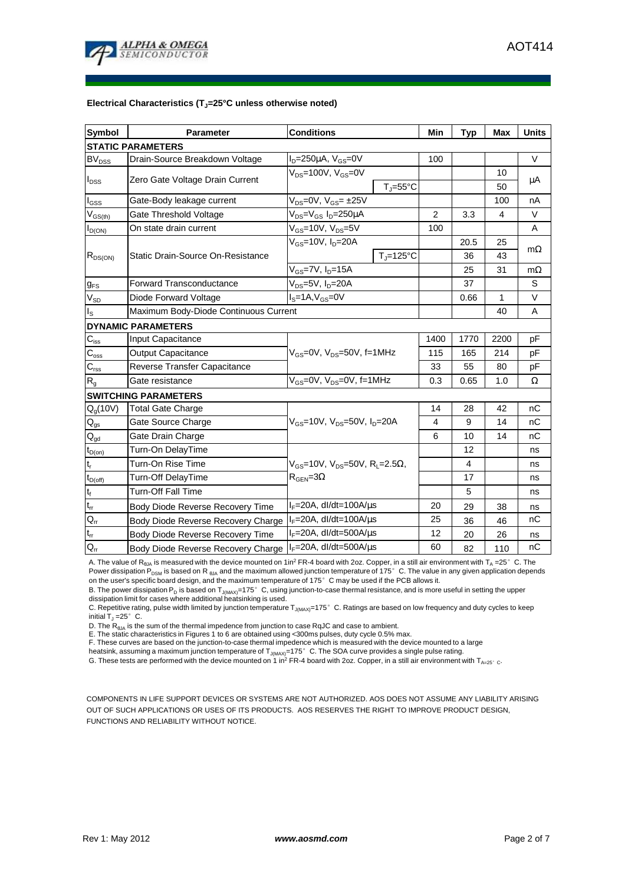

#### **Electrical Characteristics (TJ=25°C unless otherwise noted)**

| <b>Symbol</b>                           | Parameter                             | <b>Conditions</b>                                      | Min            | <b>Typ</b> | <b>Max</b> | <b>Units</b> |  |  |  |
|-----------------------------------------|---------------------------------------|--------------------------------------------------------|----------------|------------|------------|--------------|--|--|--|
| <b>STATIC PARAMETERS</b>                |                                       |                                                        |                |            |            |              |  |  |  |
| <b>BV<sub>DSS</sub></b>                 | Drain-Source Breakdown Voltage        | $I_D = 250 \mu A$ , $V_{GS} = 0V$                      | 100            |            |            | $\vee$       |  |  |  |
| $I_{DSS}$                               | Zero Gate Voltage Drain Current       | $V_{DS}$ =100V, $V_{GS}$ =0V                           |                |            | 10         | μA           |  |  |  |
|                                         |                                       | $T_{J} = 55^{\circ}C$                                  |                |            | 50         |              |  |  |  |
| $I_{GSS}$                               | Gate-Body leakage current             | $V_{DS} = 0V$ , $V_{GS} = \pm 25V$                     |                |            | 100        | nA           |  |  |  |
| $\mathsf{V}_{\mathsf{GS}(\mathsf{th})}$ | Gate Threshold Voltage                | V <sub>DS</sub> =V <sub>GS</sub> I <sub>D</sub> =250µA | $\overline{2}$ | 3.3        | 4          | $\vee$       |  |  |  |
| $I_{D(ON)}$                             | On state drain current                | $V_{GS}$ =10V, $V_{DS}$ =5V                            | 100            |            |            | A            |  |  |  |
|                                         | Static Drain-Source On-Resistance     | $V_{GS}$ =10V, $I_D$ =20A                              |                | 20.5       | 25         | $m\Omega$    |  |  |  |
| $R_{DS(ON)}$                            |                                       | $T_{\parallel} = 125^{\circ}C$                         |                | 36         | 43         |              |  |  |  |
|                                         |                                       | $V_{GS}$ =7V, $I_{D}$ =15A                             |                | 25         | 31         | $m\Omega$    |  |  |  |
| <b>g</b> <sub>FS</sub>                  | <b>Forward Transconductance</b>       | $V_{DS}$ =5V, $I_D$ =20A                               |                | 37         |            | S            |  |  |  |
| $V_{SD}$                                | Diode Forward Voltage                 | $IS=1A, VGS=0V$                                        |                | 0.66       | 1          | V            |  |  |  |
| $I_{\rm S}$                             | Maximum Body-Diode Continuous Current |                                                        |                |            | 40         | A            |  |  |  |
|                                         | <b>DYNAMIC PARAMETERS</b>             |                                                        |                |            |            |              |  |  |  |
| $C_{iss}$                               | <b>Input Capacitance</b>              |                                                        | 1400           | 1770       | 2200       | pF           |  |  |  |
| $\bar{C}_{\underline{oss}}$             | <b>Output Capacitance</b>             | $V_{GS}$ =0V, $V_{DS}$ =50V, f=1MHz                    | 115            | 165        | 214        | pF           |  |  |  |
| $C_{\rm rss}$                           | Reverse Transfer Capacitance          |                                                        | 33             | 55         | 80         | pF           |  |  |  |
| $R_{q}$                                 | Gate resistance                       | $V_{GS}$ =0V, $V_{DS}$ =0V, f=1MHz                     | 0.3            | 0.65       | 1.0        | Ω            |  |  |  |
|                                         | <b>SWITCHING PARAMETERS</b>           |                                                        |                |            |            |              |  |  |  |
| $Q_g(10V)$                              | <b>Total Gate Charge</b>              |                                                        | 14             | 28         | 42         | nC           |  |  |  |
| $\mathsf{Q}_{\text{gs}}$                | Gate Source Charge                    | $V_{GS}$ =10V, $V_{DS}$ =50V, $I_{D}$ =20A             | 4              | 9          | 14         | nC           |  |  |  |
| $\mathsf{Q}_{\text{gd}}$                | Gate Drain Charge                     |                                                        | 6              | 10         | 14         | nC           |  |  |  |
| $t_{D(on)}$                             | Turn-On DelayTime                     |                                                        |                | 12         |            | ns           |  |  |  |
| $\mathfrak{t}_{\mathsf{r}}$             | Turn-On Rise Time                     | $V_{GS}$ =10V, $V_{DS}$ =50V, R <sub>L</sub> =2.5Ω,    |                | 4          |            | ns           |  |  |  |
| $t_{D(off)}$                            | Turn-Off DelayTime                    | $R_{\text{GEN}} = 3\Omega$                             |                | 17         |            | ns           |  |  |  |
| $t_f$                                   | <b>Turn-Off Fall Time</b>             |                                                        |                | 5          |            | ns           |  |  |  |
| $t_{rr}$                                | Body Diode Reverse Recovery Time      | $I_F = 20A$ , dl/dt=100A/ $\mu$ s                      | 20             | 29         | 38         | ns           |  |  |  |
| $\mathsf{Q}_{\mathsf{rr}}$              | Body Diode Reverse Recovery Charge    | $I_F = 20A$ , dl/dt=100A/us                            | 25             | 36         | 46         | nC           |  |  |  |
| $t_{rr}$                                | Body Diode Reverse Recovery Time      | $I_F = 20A$ , dl/dt=500A/ $\mu$ s                      | 12             | 20         | 26         | ns           |  |  |  |
| $\mathsf{Q}_{\mathsf{r}\mathsf{r}}$     | Body Diode Reverse Recovery Charge    | $I_F = 20A$ , dl/dt=500A/ $\mu$ s                      | 60             | 82         | 110        | nC           |  |  |  |

A. The value of R<sub>BJA</sub> is measured with the device mounted on 1in<sup>2</sup> FR-4 board with 2oz. Copper, in a still air environment with T<sub>A</sub> =25°C. The Power dissipation  $P_{DSM}$  is based on R  $_{BJA}$  and the maximum allowed junction temperature of 175° C. The value in any given application depends on the user's specific board design, and the maximum temperature of 175°C may be used if the PCB allows it.

B. The power dissipation P<sub>D</sub> is based on T<sub>J(MAX)</sub>=175°C, using junction-to-case thermal resistance, and is more useful in setting the upper<br>dissipation limit for cases where additional heatsinking is used.

C. Repetitive rating, pulse width limited by junction temperature T<sub>J(MAX)</sub>=175°C. Ratings are based on low frequency and duty cycles to keep initial  $T = 25^\circ$  C.

D. The  $R_{\thetaJA}$  is the sum of the thermal impedence from junction to case RqJC and case to ambient.

E. The static characteristics in Figures 1 to 6 are obtained using <300ms pulses, duty cycle 0.5% max. F. These curves are based on the junction-to-case thermal impedence which is measured with the device mounted to a large

heatsink, assuming a maximum junction temperature of T<sub>J(MAX)</sub>=175°C. The SOA curve provides a single pulse rating.

G. These tests are performed with the device mounted on 1 in<sup>2</sup> FR-4 board with 2oz. Copper, in a still air environment with T<sub>A=25°</sub> c.

COMPONENTS IN LIFE SUPPORT DEVICES OR SYSTEMS ARE NOT AUTHORIZED. AOS DOES NOT ASSUME ANY LIABILITY ARISING OUT OF SUCH APPLICATIONS OR USES OF ITS PRODUCTS. AOS RESERVES THE RIGHT TO IMPROVE PRODUCT DESIGN, FUNCTIONS AND RELIABILITY WITHOUT NOTICE.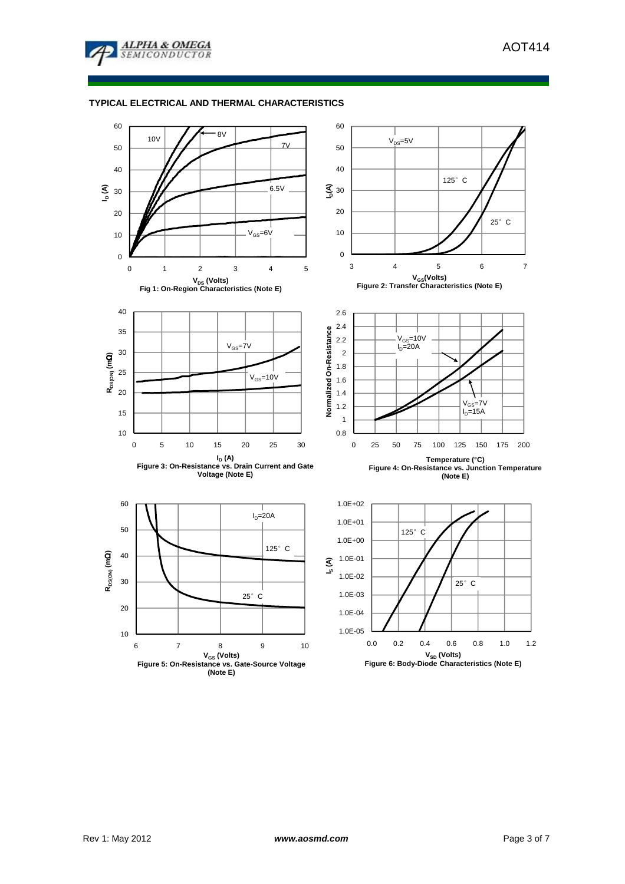

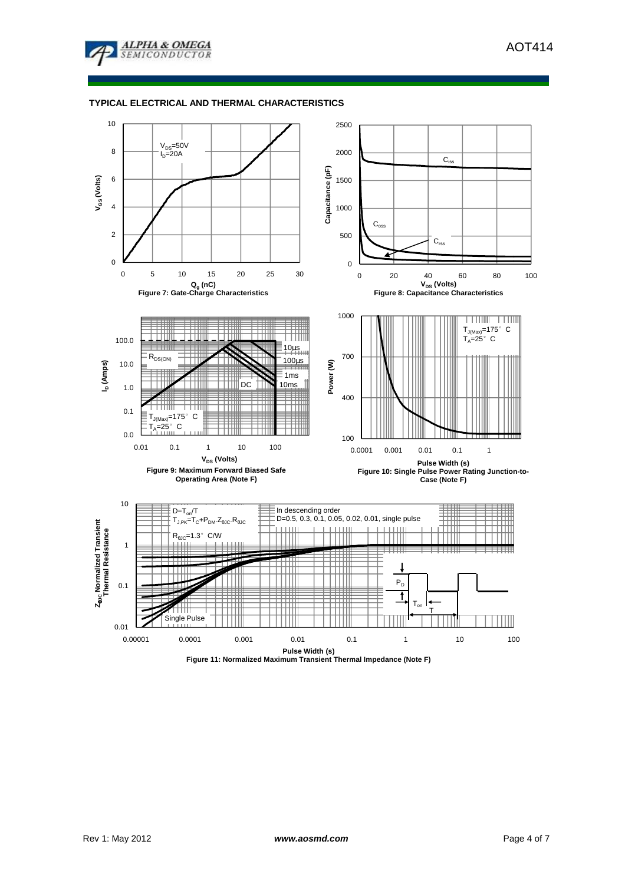



**Figure 11: Normalized Maximum Transient Thermal Impedance (Note F)**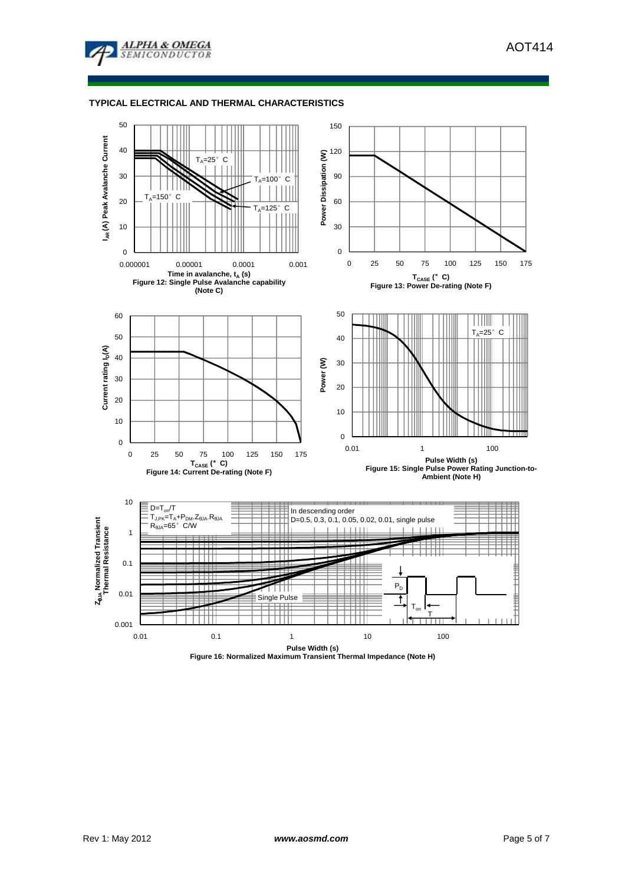



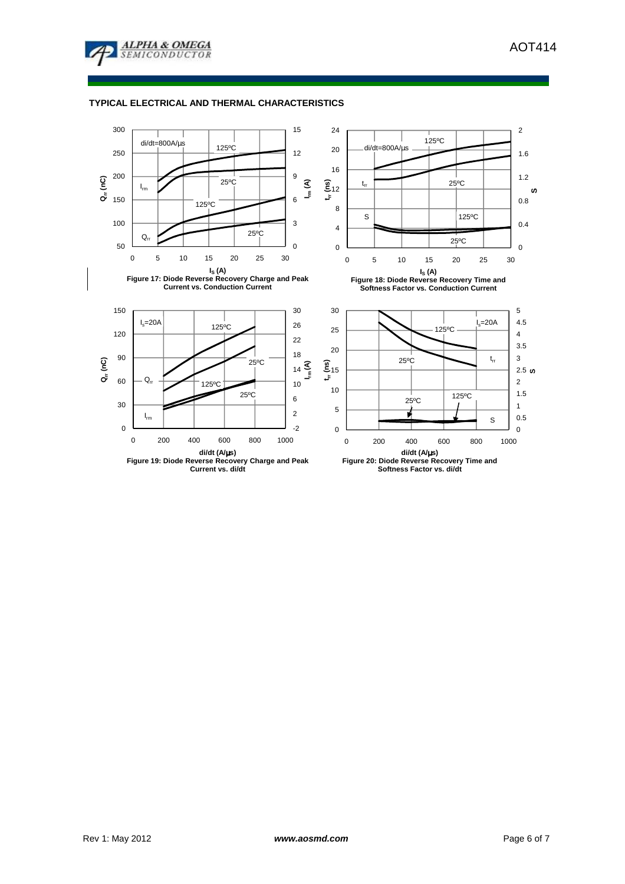